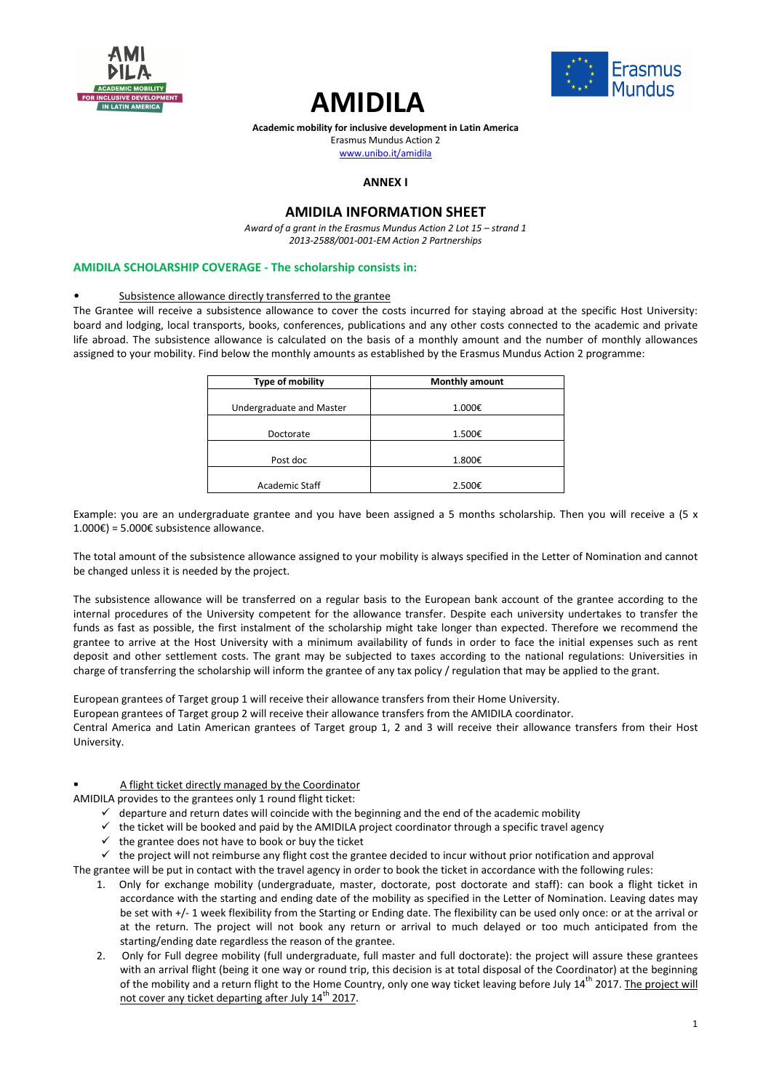





Erasmus Mundus Action 2

www.unibo.it/amidila

# **ANNEX I**

# **AMIDILA INFORMATION SHEET**

*Award of a grant in the Erasmus Mundus Action 2 Lot 15 – strand 1 2013-2588/001-001-EM Action 2 Partnerships* 

#### **AMIDILA SCHOLARSHIP COVERAGE - The scholarship consists in:**

#### Subsistence allowance directly transferred to the grantee

The Grantee will receive a subsistence allowance to cover the costs incurred for staying abroad at the specific Host University: board and lodging, local transports, books, conferences, publications and any other costs connected to the academic and private life abroad. The subsistence allowance is calculated on the basis of a monthly amount and the number of monthly allowances assigned to your mobility. Find below the monthly amounts as established by the Erasmus Mundus Action 2 programme:

| Type of mobility         | <b>Monthly amount</b> |
|--------------------------|-----------------------|
| Undergraduate and Master | 1.000€                |
| Doctorate                | 1.500€                |
| Post doc                 | 1.800€                |
| Academic Staff           | 2.500€                |

Example: you are an undergraduate grantee and you have been assigned a 5 months scholarship. Then you will receive a (5 x 1.000€) = 5.000€ subsistence allowance.

The total amount of the subsistence allowance assigned to your mobility is always specified in the Letter of Nomination and cannot be changed unless it is needed by the project.

The subsistence allowance will be transferred on a regular basis to the European bank account of the grantee according to the internal procedures of the University competent for the allowance transfer. Despite each university undertakes to transfer the funds as fast as possible, the first instalment of the scholarship might take longer than expected. Therefore we recommend the grantee to arrive at the Host University with a minimum availability of funds in order to face the initial expenses such as rent deposit and other settlement costs. The grant may be subjected to taxes according to the national regulations: Universities in charge of transferring the scholarship will inform the grantee of any tax policy / regulation that may be applied to the grant.

European grantees of Target group 1 will receive their allowance transfers from their Home University. European grantees of Target group 2 will receive their allowance transfers from the AMIDILA coordinator. Central America and Latin American grantees of Target group 1, 2 and 3 will receive their allowance transfers from their Host University.

# A flight ticket directly managed by the Coordinator

AMIDILA provides to the grantees only 1 round flight ticket:

- $\checkmark$  departure and return dates will coincide with the beginning and the end of the academic mobility
- $\checkmark$  the ticket will be booked and paid by the AMIDILA project coordinator through a specific travel agency
- $\checkmark$  the grantee does not have to book or buy the ticket
- $\checkmark$  the project will not reimburse any flight cost the grantee decided to incur without prior notification and approval

The grantee will be put in contact with the travel agency in order to book the ticket in accordance with the following rules:

- 1. Only for exchange mobility (undergraduate, master, doctorate, post doctorate and staff): can book a flight ticket in accordance with the starting and ending date of the mobility as specified in the Letter of Nomination. Leaving dates may be set with +/- 1 week flexibility from the Starting or Ending date. The flexibility can be used only once: or at the arrival or at the return. The project will not book any return or arrival to much delayed or too much anticipated from the starting/ending date regardless the reason of the grantee.
- 2. Only for Full degree mobility (full undergraduate, full master and full doctorate): the project will assure these grantees with an arrival flight (being it one way or round trip, this decision is at total disposal of the Coordinator) at the beginning of the mobility and a return flight to the Home Country, only one way ticket leaving before July 14<sup>th</sup> 2017. The project will not cover any ticket departing after July 14<sup>th</sup> 2017.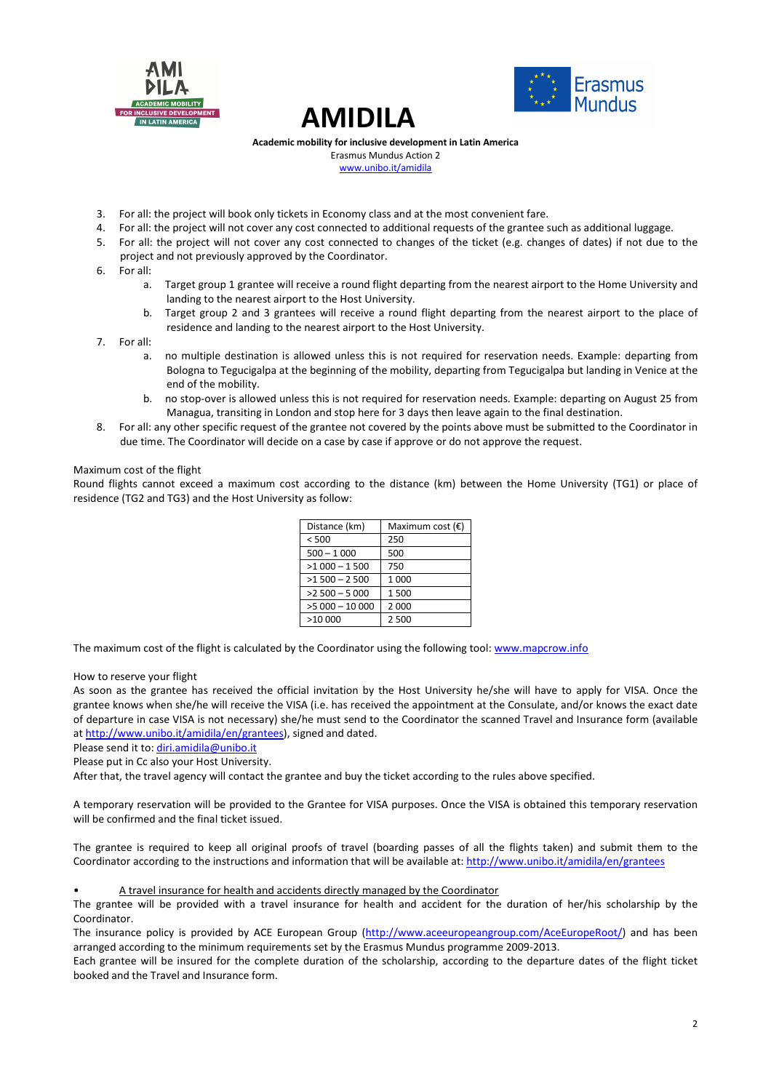





Erasmus Mundus Action 2 www.unibo.it/amidila

- 3. For all: the project will book only tickets in Economy class and at the most convenient fare.
- 4. For all: the project will not cover any cost connected to additional requests of the grantee such as additional luggage.
- 5. For all: the project will not cover any cost connected to changes of the ticket (e.g. changes of dates) if not due to the project and not previously approved by the Coordinator.
- 6. For all:
	- a. Target group 1 grantee will receive a round flight departing from the nearest airport to the Home University and landing to the nearest airport to the Host University.
	- b. Target group 2 and 3 grantees will receive a round flight departing from the nearest airport to the place of residence and landing to the nearest airport to the Host University.
- 7. For all:
	- a. no multiple destination is allowed unless this is not required for reservation needs. Example: departing from Bologna to Tegucigalpa at the beginning of the mobility, departing from Tegucigalpa but landing in Venice at the end of the mobility.
	- b. no stop-over is allowed unless this is not required for reservation needs. Example: departing on August 25 from Managua, transiting in London and stop here for 3 days then leave again to the final destination.
- 8. For all: any other specific request of the grantee not covered by the points above must be submitted to the Coordinator in due time. The Coordinator will decide on a case by case if approve or do not approve the request.

### Maximum cost of the flight

Round flights cannot exceed a maximum cost according to the distance (km) between the Home University (TG1) or place of residence (TG2 and TG3) and the Host University as follow:

| Distance (km)   | Maximum cost $(\epsilon)$ |
|-----------------|---------------------------|
| < 500           | 250                       |
| $500 - 1000$    | 500                       |
| $>1000 - 1500$  | 750                       |
| $>1500 - 2500$  | 1 0 0 0                   |
| $>2500 - 5000$  | 1500                      |
| $>5000 - 10000$ | 2 000                     |
| >10 000         | 2 500                     |

The maximum cost of the flight is calculated by the Coordinator using the following tool: www.mapcrow.info

How to reserve your flight

As soon as the grantee has received the official invitation by the Host University he/she will have to apply for VISA. Once the grantee knows when she/he will receive the VISA (i.e. has received the appointment at the Consulate, and/or knows the exact date of departure in case VISA is not necessary) she/he must send to the Coordinator the scanned Travel and Insurance form (available at http://www.unibo.it/amidila/en/grantees), signed and dated.

Please send it to: diri.amidila@unibo.it

Please put in Cc also your Host University.

After that, the travel agency will contact the grantee and buy the ticket according to the rules above specified.

A temporary reservation will be provided to the Grantee for VISA purposes. Once the VISA is obtained this temporary reservation will be confirmed and the final ticket issued.

The grantee is required to keep all original proofs of travel (boarding passes of all the flights taken) and submit them to the Coordinator according to the instructions and information that will be available at: http://www.unibo.it/amidila/en/grantees

• A travel insurance for health and accidents directly managed by the Coordinator

The grantee will be provided with a travel insurance for health and accident for the duration of her/his scholarship by the Coordinator.

The insurance policy is provided by ACE European Group (http://www.aceeuropeangroup.com/AceEuropeRoot/) and has been arranged according to the minimum requirements set by the Erasmus Mundus programme 2009-2013.

Each grantee will be insured for the complete duration of the scholarship, according to the departure dates of the flight ticket booked and the Travel and Insurance form.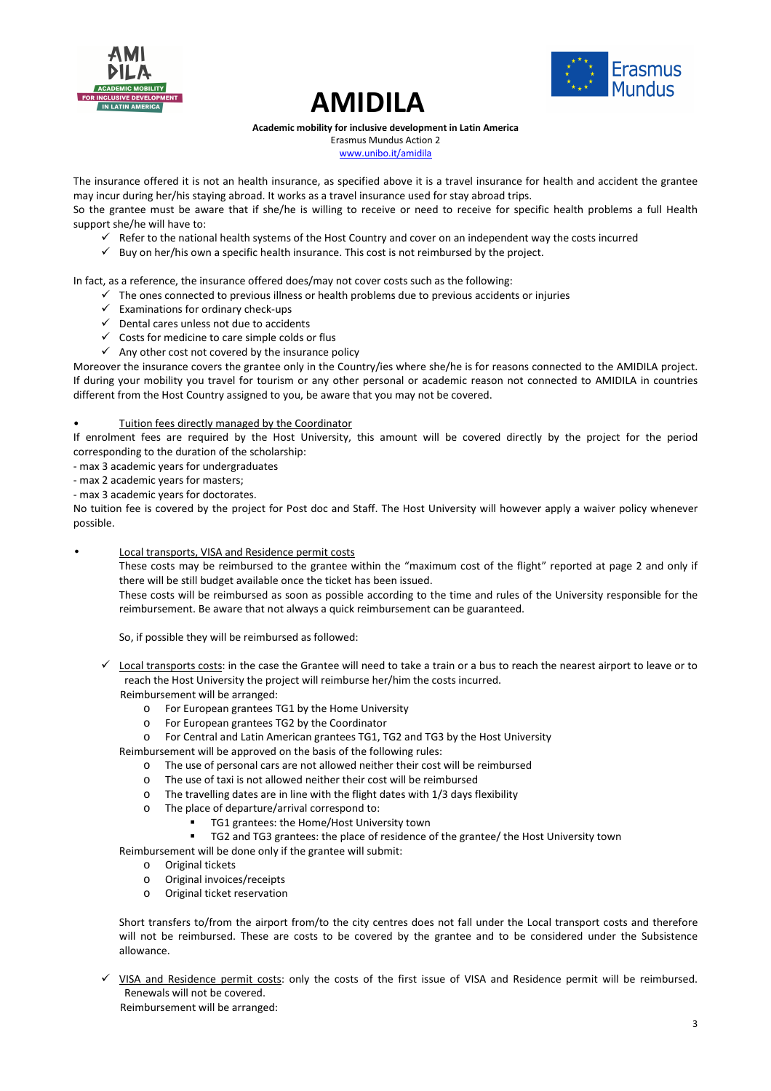





Erasmus Mundus Action 2 www.unibo.it/amidila

The insurance offered it is not an health insurance, as specified above it is a travel insurance for health and accident the grantee may incur during her/his staying abroad. It works as a travel insurance used for stay abroad trips.

So the grantee must be aware that if she/he is willing to receive or need to receive for specific health problems a full Health support she/he will have to:

- Refer to the national health systems of the Host Country and cover on an independent way the costs incurred
- $\checkmark$  Buy on her/his own a specific health insurance. This cost is not reimbursed by the project.

In fact, as a reference, the insurance offered does/may not cover costs such as the following:

- The ones connected to previous illness or health problems due to previous accidents or injuries
- $\checkmark$  Examinations for ordinary check-ups
- $\checkmark$  Dental cares unless not due to accidents
- $\checkmark$  Costs for medicine to care simple colds or flus
- $\checkmark$  Any other cost not covered by the insurance policy

Moreover the insurance covers the grantee only in the Country/ies where she/he is for reasons connected to the AMIDILA project. If during your mobility you travel for tourism or any other personal or academic reason not connected to AMIDILA in countries different from the Host Country assigned to you, be aware that you may not be covered.

# Tuition fees directly managed by the Coordinator

If enrolment fees are required by the Host University, this amount will be covered directly by the project for the period corresponding to the duration of the scholarship:

- max 3 academic years for undergraduates

- max 2 academic years for masters;

- max 3 academic years for doctorates.

No tuition fee is covered by the project for Post doc and Staff. The Host University will however apply a waiver policy whenever possible.

Local transports, VISA and Residence permit costs

These costs may be reimbursed to the grantee within the "maximum cost of the flight" reported at page 2 and only if there will be still budget available once the ticket has been issued.

These costs will be reimbursed as soon as possible according to the time and rules of the University responsible for the reimbursement. Be aware that not always a quick reimbursement can be guaranteed.

So, if possible they will be reimbursed as followed:

- $\checkmark$  Local transports costs: in the case the Grantee will need to take a train or a bus to reach the nearest airport to leave or to reach the Host University the project will reimburse her/him the costs incurred.
	- Reimbursement will be arranged:
		- o For European grantees TG1 by the Home University
		- o For European grantees TG2 by the Coordinator
		- o For Central and Latin American grantees TG1, TG2 and TG3 by the Host University

Reimbursement will be approved on the basis of the following rules:

- o The use of personal cars are not allowed neither their cost will be reimbursed
- o The use of taxi is not allowed neither their cost will be reimbursed
- o The travelling dates are in line with the flight dates with 1/3 days flexibility
- o The place of departure/arrival correspond to:
	- TG1 grantees: the Home/Host University town
	- TG2 and TG3 grantees: the place of residence of the grantee/ the Host University town

Reimbursement will be done only if the grantee will submit:

- o Original tickets
- o Original invoices/receipts
- o Original ticket reservation

Short transfers to/from the airport from/to the city centres does not fall under the Local transport costs and therefore will not be reimbursed. These are costs to be covered by the grantee and to be considered under the Subsistence allowance.

 $\checkmark$  VISA and Residence permit costs: only the costs of the first issue of VISA and Residence permit will be reimbursed. Renewals will not be covered.

Reimbursement will be arranged: